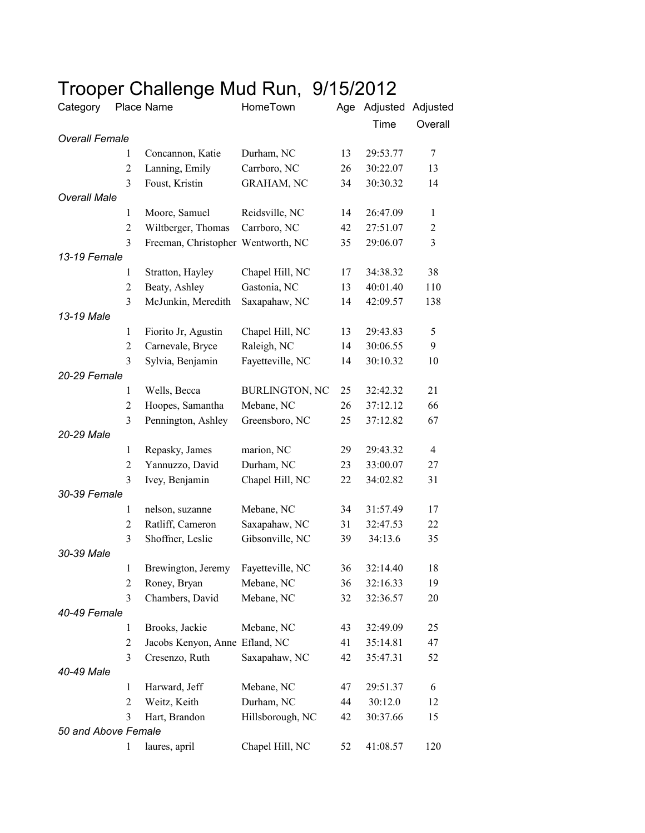## Trooper Challenge Mud Run, 9/15/2012

| Category              |                     | Place Name                           | HomeTown                        | Age | Adjusted Adjusted |                |
|-----------------------|---------------------|--------------------------------------|---------------------------------|-----|-------------------|----------------|
|                       |                     |                                      |                                 |     | Time              | Overall        |
| <b>Overall Female</b> |                     |                                      |                                 |     |                   |                |
|                       | 1                   | Concannon, Katie                     | Durham, NC                      | 13  | 29:53.77          | 7              |
|                       | $\overline{2}$      | Lanning, Emily                       | Carrboro, NC                    | 26  | 30:22.07          | 13             |
|                       | 3                   | Foust, Kristin                       | <b>GRAHAM, NC</b>               | 34  | 30:30.32          | 14             |
| <b>Overall Male</b>   |                     |                                      |                                 |     |                   |                |
|                       | 1                   | Moore, Samuel                        | Reidsville, NC                  | 14  | 26:47.09          | $\mathbf{1}$   |
|                       | $\overline{2}$      | Wiltberger, Thomas                   | Carrboro, NC                    | 42  | 27:51.07          | $\overline{2}$ |
|                       | 3                   | Freeman, Christopher Wentworth, NC   |                                 | 35  | 29:06.07          | 3              |
| 13-19 Female          |                     |                                      |                                 |     |                   |                |
|                       | 1                   | Stratton, Hayley                     | Chapel Hill, NC                 | 17  | 34:38.32          | 38             |
|                       | $\mathfrak{2}$      | Beaty, Ashley                        | Gastonia, NC                    | 13  | 40:01.40          | 110            |
|                       | 3                   | McJunkin, Meredith                   | Saxapahaw, NC                   | 14  | 42:09.57          | 138            |
| 13-19 Male            |                     |                                      |                                 |     |                   |                |
|                       | 1                   | Fiorito Jr, Agustin                  | Chapel Hill, NC                 | 13  | 29:43.83          | 5<br>9         |
|                       | $\overline{2}$<br>3 | Carnevale, Bryce<br>Sylvia, Benjamin | Raleigh, NC<br>Fayetteville, NC | 14  | 30:06.55          |                |
| 20-29 Female          |                     |                                      |                                 | 14  | 30:10.32          | 10             |
|                       | $\mathbf{1}$        | Wells, Becca                         | <b>BURLINGTON, NC</b>           | 25  | 32:42.32          | 21             |
|                       | $\mathfrak{2}$      | Hoopes, Samantha                     | Mebane, NC                      | 26  | 37:12.12          | 66             |
|                       | 3                   | Pennington, Ashley                   | Greensboro, NC                  | 25  | 37:12.82          | 67             |
| 20-29 Male            |                     |                                      |                                 |     |                   |                |
|                       | 1                   | Repasky, James                       | marion, NC                      | 29  | 29:43.32          | $\overline{4}$ |
|                       | $\overline{2}$      | Yannuzzo, David                      | Durham, NC                      | 23  | 33:00.07          | 27             |
|                       | 3                   | Ivey, Benjamin                       | Chapel Hill, NC                 | 22  | 34:02.82          | 31             |
| 30-39 Female          |                     |                                      |                                 |     |                   |                |
|                       | $\mathbf{1}$        | nelson, suzanne                      | Mebane, NC                      | 34  | 31:57.49          | 17             |
|                       | $\overline{2}$      | Ratliff, Cameron                     | Saxapahaw, NC                   | 31  | 32:47.53          | 22             |
|                       | 3                   | Shoffner, Leslie                     | Gibsonville, NC                 | 39  | 34:13.6           | 35             |
| 30-39 Male            |                     |                                      |                                 |     |                   |                |
|                       | $\mathbf{1}$        | Brewington, Jeremy                   | Fayetteville, NC                | 36  | 32:14.40          | 18             |
|                       | $\overline{c}$      | Roney, Bryan                         | Mebane, NC                      | 36  | 32:16.33          | 19             |
|                       | 3                   | Chambers, David                      | Mebane, NC                      | 32  | 32:36.57          | 20             |
| 40-49 Female          |                     |                                      |                                 |     |                   |                |
|                       | $\mathbf{1}$        | Brooks, Jackie                       | Mebane, NC                      | 43  | 32:49.09          | 25             |
|                       | $\overline{2}$      | Jacobs Kenyon, Anne Efland, NC       |                                 | 41  | 35:14.81          | 47             |
|                       | 3                   | Cresenzo, Ruth                       | Saxapahaw, NC                   | 42  | 35:47.31          | 52             |
| 40-49 Male            |                     |                                      |                                 |     |                   |                |
|                       | 1                   | Harward, Jeff                        | Mebane, NC                      | 47  | 29:51.37          | 6              |
|                       | $\overline{2}$      | Weitz, Keith                         | Durham, NC                      | 44  | 30:12.0           | 12             |
|                       | 3                   | Hart, Brandon                        | Hillsborough, NC                | 42  | 30:37.66          | 15             |
| 50 and Above Female   |                     |                                      |                                 |     |                   |                |
|                       | 1                   | laures, april                        | Chapel Hill, NC                 | 52  | 41:08.57          | 120            |